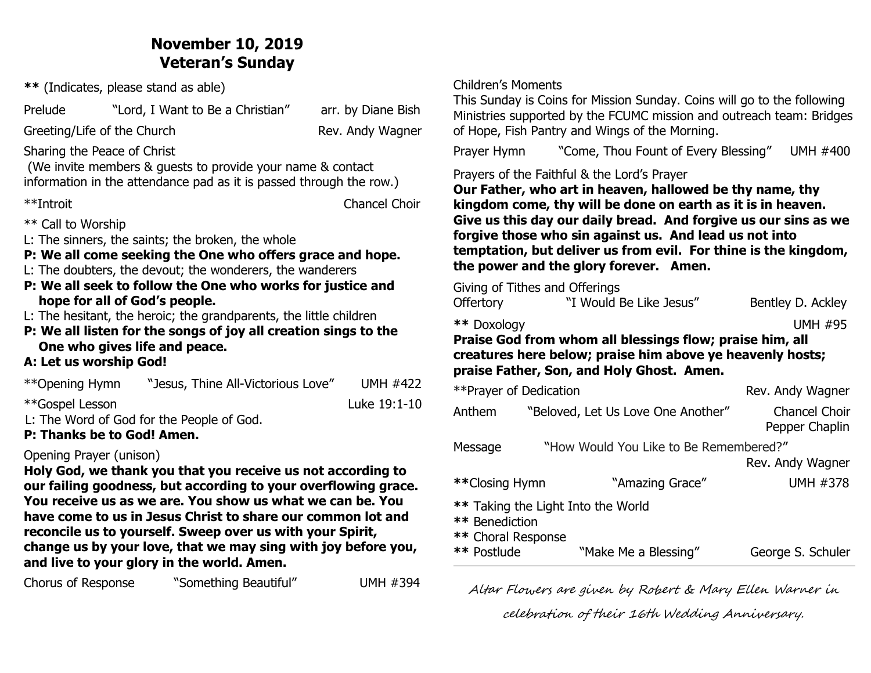# **November 10, 2019 Veteran's Sunday**

**\*\*** (Indicates, please stand as able)

Prelude "Lord, I Want to Be a Christian" arr. by Diane Bish

Greeting/Life of the Church Rev. Andy Wagner

Sharing the Peace of Christ

 (We invite members & guests to provide your name & contact information in the attendance pad as it is passed through the row.)

\*\*Introit Chancel Choir

\*\* Call to Worship

L: The sinners, the saints; the broken, the whole

**P: We all come seeking the One who offers grace and hope.** 

L: The doubters, the devout; the wonderers, the wanderers

**P: We all seek to follow the One who works for justice and hope for all of God's people.** 

L: The hesitant, the heroic; the grandparents, the little children

**P: We all listen for the songs of joy all creation sings to the One who gives life and peace.** 

### **A: Let us worship God!**

| **Opening Hymn                                       | "Jesus, Thine All-Victorious Love" | <b>UMH #422</b> |  |  |
|------------------------------------------------------|------------------------------------|-----------------|--|--|
| **Gospel Lesson                                      |                                    | Luke 19:1-10    |  |  |
| $\blacksquare$ The Word of Cod for the Deople of Cod |                                    |                 |  |  |

L: The Word of God for the People of God.

**P: Thanks be to God! Amen.**

### Opening Prayer (unison)

**Holy God, we thank you that you receive us not according to our failing goodness, but according to your overflowing grace. You receive us as we are. You show us what we can be. You have come to us in Jesus Christ to share our common lot and reconcile us to yourself. Sweep over us with your Spirit, change us by your love, that we may sing with joy before you, and live to your glory in the world. Amen.**

Chorus of Response "Something Beautiful" UMH #394

#### Children's Moments

This Sunday is Coins for Mission Sunday. Coins will go to the following Ministries supported by the FCUMC mission and outreach team: Bridges of Hope, Fish Pantry and Wings of the Morning.

Prayer Hymn"Come, Thou Fount of Every Blessing" UMH #400

Prayers of the Faithful & the Lord's Prayer

**Our Father, who art in heaven, hallowed be thy name, thy kingdom come, thy will be done on earth as it is in heaven. Give us this day our daily bread. And forgive us our sins as we forgive those who sin against us. And lead us not into temptation, but deliver us from evil. For thine is the kingdom, the power and the glory forever. Amen.**

Giving of Tithes and Offerings

| Praise God from whom all blessings flow; praise him, all<br>creatures here below; praise him above ye heavenly hosts; |                         |                   |  |  |  |
|-----------------------------------------------------------------------------------------------------------------------|-------------------------|-------------------|--|--|--|
| ** Doxology                                                                                                           |                         | <b>UMH #95</b>    |  |  |  |
| <b>Offertory</b>                                                                                                      | "I Would Be Like Jesus" | Bentley D. Ackley |  |  |  |

## **praise Father, Son, and Holy Ghost. Amen.**

| ** Prayer of Dedication                                                    | Rev. Andy Wagner                   |                                        |  |  |
|----------------------------------------------------------------------------|------------------------------------|----------------------------------------|--|--|
| Anthem                                                                     | "Beloved, Let Us Love One Another" | <b>Chancel Choir</b><br>Pepper Chaplin |  |  |
| "How Would You Like to Be Remembered?"<br>Message                          |                                    |                                        |  |  |
|                                                                            |                                    | Rev. Andy Wagner                       |  |  |
| **Closing Hymn                                                             | "Amazing Grace"                    | <b>UMH #378</b>                        |  |  |
| ** Taking the Light Into the World<br>** Benediction<br>** Choral Response |                                    |                                        |  |  |
| ** Postlude                                                                | "Make Me a Blessing"               | George S. Schuler                      |  |  |

Altar Flowers are given by Robert & Mary Ellen Warner in

celebration of their 16th Wedding Anniversary.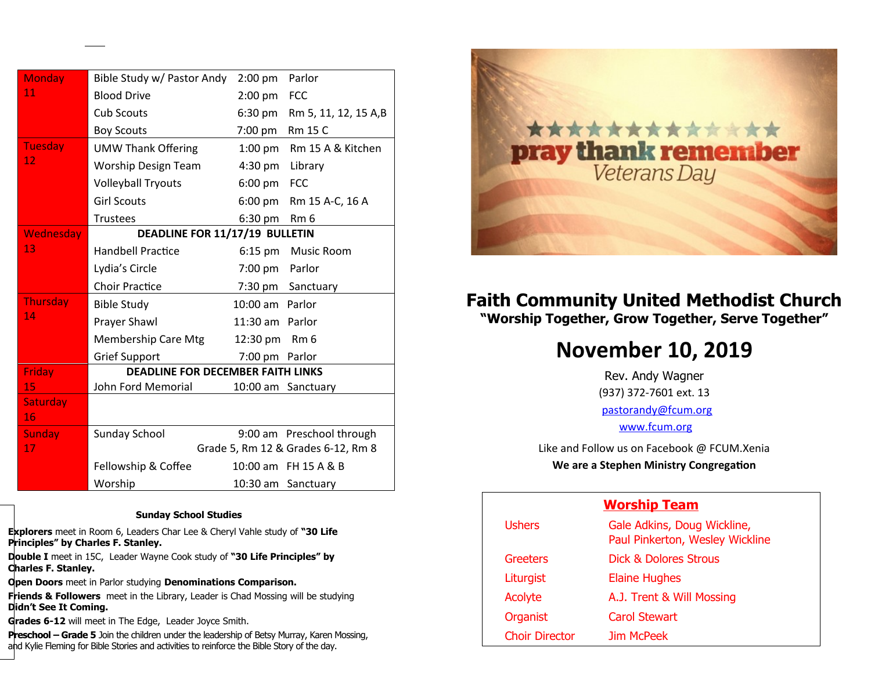| Monday          | Bible Study w/ Pastor Andy               | 2:00 pm           | Parlor                             |
|-----------------|------------------------------------------|-------------------|------------------------------------|
| 11              | <b>Blood Drive</b>                       | $2:00$ pm         | <b>FCC</b>                         |
|                 | <b>Cub Scouts</b>                        | $6:30 \text{ pm}$ | Rm 5, 11, 12, 15 A,B               |
|                 | <b>Boy Scouts</b>                        | 7:00 pm           | Rm 15 C                            |
| Tuesday         | <b>UMW Thank Offering</b>                | $1:00$ pm         | Rm 15 A & Kitchen                  |
| 12              | <b>Worship Design Team</b>               | $4:30$ pm         | Library                            |
|                 | <b>Volleyball Tryouts</b>                | $6:00 \text{ pm}$ | <b>FCC</b>                         |
|                 | <b>Girl Scouts</b>                       | $6:00 \text{ pm}$ | Rm 15 A-C, 16 A                    |
|                 | <b>Trustees</b>                          | $6:30$ pm         | Rm <sub>6</sub>                    |
| Wednesday       | DEADLINE FOR 11/17/19 BULLETIN           |                   |                                    |
| 13              | <b>Handbell Practice</b>                 | $6:15$ pm         | Music Room                         |
|                 | Lydia's Circle                           | 7:00 pm           | Parlor                             |
|                 | <b>Choir Practice</b>                    | 7:30 pm           | Sanctuary                          |
| <b>Thursday</b> | <b>Bible Study</b>                       | 10:00 am Parlor   |                                    |
| 14              | Prayer Shawl                             | 11:30 am Parlor   |                                    |
|                 | <b>Membership Care Mtg</b>               | 12:30 pm          | Rm <sub>6</sub>                    |
|                 | <b>Grief Support</b>                     | 7:00 pm           | Parlor                             |
| Friday          | <b>DEADLINE FOR DECEMBER FAITH LINKS</b> |                   |                                    |
| 15              | John Ford Memorial                       |                   | 10:00 am Sanctuary                 |
| <b>Saturday</b> |                                          |                   |                                    |
| 16              |                                          |                   |                                    |
| <b>Sunday</b>   | <b>Sunday School</b>                     |                   | 9:00 am Preschool through          |
| 17              |                                          |                   | Grade 5, Rm 12 & Grades 6-12, Rm 8 |
|                 | Fellowship & Coffee                      |                   | 10:00 am FH 15 A & B               |
|                 | Worship                                  |                   | 10:30 am Sanctuary                 |

#### **Sunday School Studies**

**Explorers** meet in Room 6, Leaders Char Lee & Cheryl Vahle study of **"30 Life Principles" by Charles F. Stanley.** 

**Double I** meet in 15C, Leader Wayne Cook study of **"30 Life Principles" by Charles F. Stanley.**

**Open Doors** meet in Parlor studying **Denominations Comparison.**

**Friends & Followers** meet in the Library, Leader is Chad Mossing will be studying **Didn't See It Coming.**

**Grades 6-12** will meet in The Edge, Leader Joyce Smith.

1

**Preschool – Grade 5** Join the children under the leadership of Betsy Murray, Karen Mossing, and Kylie Fleming for Bible Stories and activities to reinforce the Bible Story of the day.



# **Faith Community United Methodist Church "Worship Together, Grow Together, Serve Together"**

# **November 10, 2019**

Rev. Andy Wagner (937) 372-7601 ext. 13 [pastorandy@fcum.org](mailto:pastorandy@fcum.org) [www.fcum.org](http://www.fcum.org/)

Like and Follow us on Facebook @ FCUM.Xenia **We are a Stephen Ministry Congregation**

#### **Worship Team**

| <b>Ushers</b>         | Gale Adkins, Doug Wickline,<br>Paul Pinkerton, Wesley Wickline |
|-----------------------|----------------------------------------------------------------|
| Greeters              | Dick & Dolores Strous                                          |
| Liturgist             | <b>Elaine Hughes</b>                                           |
| Acolyte               | A.J. Trent & Will Mossing                                      |
| <b>Organist</b>       | <b>Carol Stewart</b>                                           |
| <b>Choir Director</b> | Jim McPeek                                                     |